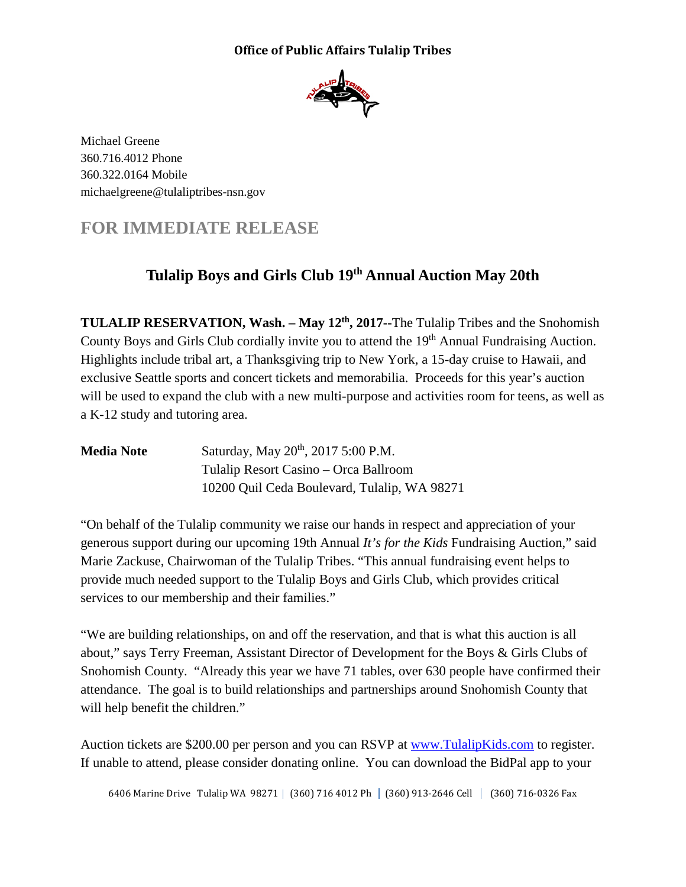## **Office of Public Affairs Tulalip Tribes**



Michael Greene 360.716.4012 Phone 360.322.0164 Mobile michaelgreene@tulaliptribes-nsn.gov

## **FOR IMMEDIATE RELEASE**

## **Tulalip Boys and Girls Club 19th Annual Auction May 20th**

**TULALIP RESERVATION, Wash. – May 12<sup>th</sup>, 2017--The Tulalip Tribes and the Snohomish** County Boys and Girls Club cordially invite you to attend the 19<sup>th</sup> Annual Fundraising Auction. Highlights include tribal art, a Thanksgiving trip to New York, a 15-day cruise to Hawaii, and exclusive Seattle sports and concert tickets and memorabilia. Proceeds for this year's auction will be used to expand the club with a new multi-purpose and activities room for teens, as well as a K-12 study and tutoring area.

| <b>Media Note</b> | Saturday, May 20 <sup>th</sup> , 2017 5:00 P.M. |
|-------------------|-------------------------------------------------|
|                   | Tulalip Resort Casino – Orca Ballroom           |
|                   | 10200 Quil Ceda Boulevard, Tulalip, WA 98271    |

"On behalf of the Tulalip community we raise our hands in respect and appreciation of your generous support during our upcoming 19th Annual *It's for the Kids* Fundraising Auction," said Marie Zackuse, Chairwoman of the Tulalip Tribes. "This annual fundraising event helps to provide much needed support to the Tulalip Boys and Girls Club, which provides critical services to our membership and their families."

"We are building relationships, on and off the reservation, and that is what this auction is all about," says Terry Freeman, Assistant Director of Development for the Boys & Girls Clubs of Snohomish County. "Already this year we have 71 tables, over 630 people have confirmed their attendance. The goal is to build relationships and partnerships around Snohomish County that will help benefit the children."

Auction tickets are \$200.00 per person and you can RSVP at [www.TulalipKids.com](http://www.tulalipkids.com/) to register. If unable to attend, please consider donating online. You can download the BidPal app to your

6406 Marine Drive Tulalip WA 98271 (360) 716 4012 Ph (360) 913-2646 Cell (360) 716-0326 Fax